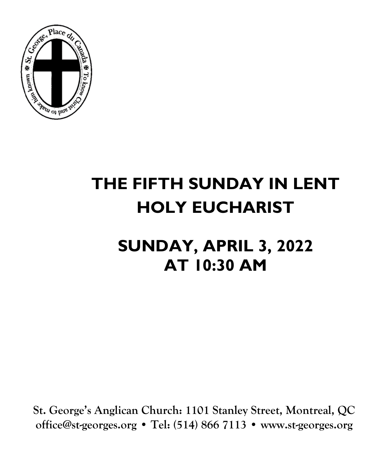

# **THE FIFTH SUNDAY IN LENT HOLY EUCHARIST**

# **SUNDAY, APRIL 3, 2022 AT 10:30 AM**

**St. George's Anglican Church: 1101 Stanley Street, Montreal, QC office@st-georges.org • Tel: (514) 866 7113 • www.st-georges.org**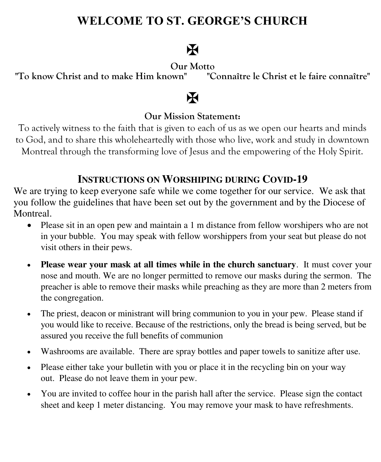# **WELCOME TO ST. GEORGE'S CHURCH**

# K

"To know Christ and to make Him known"

Our Motto<br><sup>2</sup> wn" "Connaître le Christ et le faire connaître"

# X

### **Our Mission Statement:**

To actively witness to the faith that is given to each of us as we open our hearts and minds to God, and to share this wholeheartedly with those who live, work and study in downtown Montreal through the transforming love of Jesus and the empowering of the Holy Spirit.

# **INSTRUCTIONS ON WORSHIPING DURING COVID-19**

We are trying to keep everyone safe while we come together for our service. We ask that you follow the guidelines that have been set out by the government and by the Diocese of Montreal.

- Please sit in an open pew and maintain a 1 m distance from fellow worshipers who are not in your bubble. You may speak with fellow worshippers from your seat but please do not visit others in their pews.
- **Please wear your mask at all times while in the church sanctuary**. It must cover your nose and mouth. We are no longer permitted to remove our masks during the sermon. The preacher is able to remove their masks while preaching as they are more than 2 meters from the congregation.
- The priest, deacon or ministrant will bring communion to you in your pew. Please stand if you would like to receive. Because of the restrictions, only the bread is being served, but be assured you receive the full benefits of communion
- Washrooms are available. There are spray bottles and paper towels to sanitize after use.
- Please either take your bulletin with you or place it in the recycling bin on your way out. Please do not leave them in your pew.
- You are invited to coffee hour in the parish hall after the service. Please sign the contact sheet and keep 1 meter distancing. You may remove your mask to have refreshments.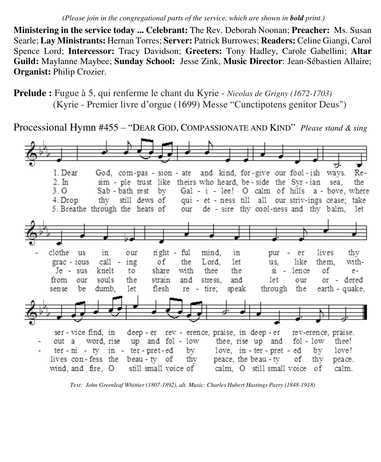**Ministering in the service today ... Celebrant:** The Rev. Deborah Noonan; **Preacher:** Ms. Susan Searle; **Lay Ministrants:** Hernan Torres; **Server:** Patrick Burrowes; **Readers:** Celine Giangi, Carol Spence Lord; **Intercessor:** Tracy Davidson; **Greeters:** Tony Hadley, Carole Gabellini; **Altar Guild:** Maylanne Maybee; **Sunday School:** Jesse Zink, **Music Director**: Jean-Sébastien Allaire; **Organist:** Philip Crozier.

**Prelude :** Fugue à 5, qui renferme le chant du Kyrie - *Nicolas de Grigny (1672-1703)* (Kyrie - Premier livre d'orgue (1699) Messe "Cunctipotens genitor Deus")

Processional Hymn #455 – "DEAR GOD, COMPASSIONATE AND KIND" *Please stand & sing* 



*Text: John Greenleaf Whittier (1807-1892), alt. Music: Charles Hubert Hastings Parry (1848-1918)*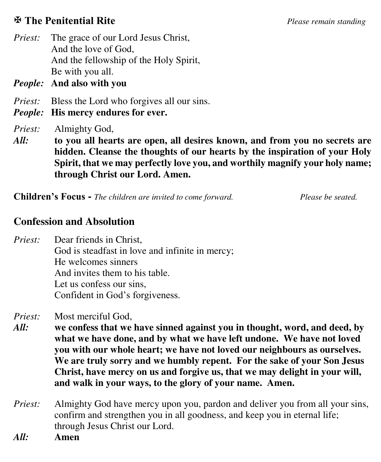# **The Penitential Rite** *Please remain standing*

- *Priest:* The grace of our Lord Jesus Christ, And the love of God, And the fellowship of the Holy Spirit, Be with you all.
- *People:* **And also with you**
- *Priest:* Bless the Lord who forgives all our sins.
- *People:* **His mercy endures for ever.**
- *Priest:* Almighty God,
- *All:* **to you all hearts are open, all desires known, and from you no secrets are hidden. Cleanse the thoughts of our hearts by the inspiration of your Holy Spirit, that we may perfectly love you, and worthily magnify your holy name; through Christ our Lord. Amen.**

**Children's Focus -** *The children are invited to come forward. Please be seated.*

# **Confession and Absolution**

*Priest:* Dear friends in Christ, God is steadfast in love and infinite in mercy; He welcomes sinners And invites them to his table. Let us confess our sins, Confident in God's forgiveness.

- *Priest:* Most merciful God,
- *All:* **we confess that we have sinned against you in thought, word, and deed, by what we have done, and by what we have left undone. We have not loved you with our whole heart; we have not loved our neighbours as ourselves. We are truly sorry and we humbly repent. For the sake of your Son Jesus Christ, have mercy on us and forgive us, that we may delight in your will, and walk in your ways, to the glory of your name. Amen.**
- *Priest:* Almighty God have mercy upon you, pardon and deliver you from all your sins, confirm and strengthen you in all goodness, and keep you in eternal life; through Jesus Christ our Lord.
- *All:* **Amen**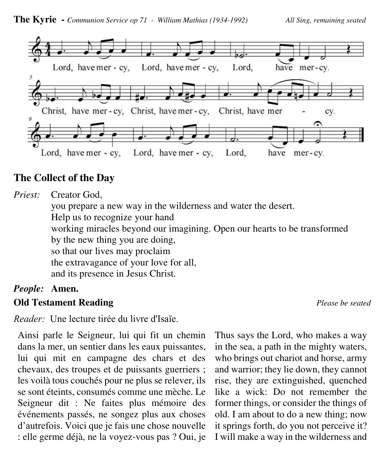

### **The Collect of the Day**

*Priest:* Creator God,

you prepare a new way in the wilderness and water the desert.

Help us to recognize your hand

working miracles beyond our imagining. Open our hearts to be transformed

by the new thing you are doing, so that our lives may proclaim

the extravagance of your love for all,

and its presence in Jesus Christ.

#### *People:* **Amen.**

#### **Old Testament Reading** *Please be seated*

*Reader:* Une lecture tirée du livre d'Isaïe.

Ainsi parle le Seigneur, lui qui fit un chemin dans la mer, un sentier dans les eaux puissantes, lui qui mit en campagne des chars et des chevaux, des troupes et de puissants guerriers ; les voilà tous couchés pour ne plus se relever, ils se sont éteints, consumés comme une mèche. Le Seigneur dit : Ne faites plus mémoire des événements passés, ne songez plus aux choses d'autrefois. Voici que je fais une chose nouvelle : elle germe déjà, ne la voyez-vous pas ? Oui, je

Thus says the Lord, who makes a way in the sea, a path in the mighty waters, who brings out chariot and horse, army and warrior; they lie down, they cannot rise, they are extinguished, quenched like a wick: Do not remember the former things, or consider the things of old. I am about to do a new thing; now it springs forth, do you not perceive it? I will make a way in the wilderness and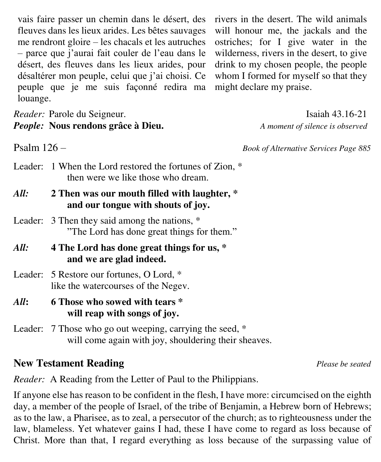vais faire passer un chemin dans le désert, des fleuves dans les lieux arides. Les bêtes sauvages me rendront gloire – les chacals et les autruches – parce que j'aurai fait couler de l'eau dans le désert, des fleuves dans les lieux arides, pour désaltérer mon peuple, celui que j'ai choisi. Ce peuple que je me suis façonné redira ma louange.

*Reader:* Parole du Seigneur. Isaiah 43.16-21

# *People:* **Nous rendons grâce à Dieu.** *A moment of silence is observed*

Psalm 126 – *Book of Alternative Services Page 885*

- Leader: 1 When the Lord restored the fortunes of Zion, \* then were we like those who dream.
- *All:* **2 Then was our mouth filled with laughter, \* and our tongue with shouts of joy.**
- Leader: 3 Then they said among the nations, \* "The Lord has done great things for them."
- *All:* **4 The Lord has done great things for us, \* and we are glad indeed.**
- Leader: 5 Restore our fortunes, O Lord, \* like the watercourses of the Negev.
- *All***: 6 Those who sowed with tears \* will reap with songs of joy.**
- Leader: 7 Those who go out weeping, carrying the seed,  $*$ will come again with joy, shouldering their sheaves.

# **New Testament Reading** *Please be seated*

*Reader:* A Reading from the Letter of Paul to the Philippians.

If anyone else has reason to be confident in the flesh, I have more: circumcised on the eighth day, a member of the people of Israel, of the tribe of Benjamin, a Hebrew born of Hebrews; as to the law, a Pharisee, as to zeal, a persecutor of the church; as to righteousness under the law, blameless. Yet whatever gains I had, these I have come to regard as loss because of Christ. More than that, I regard everything as loss because of the surpassing value of

rivers in the desert. The wild animals will honour me, the jackals and the ostriches; for I give water in the wilderness, rivers in the desert, to give drink to my chosen people, the people whom I formed for myself so that they might declare my praise.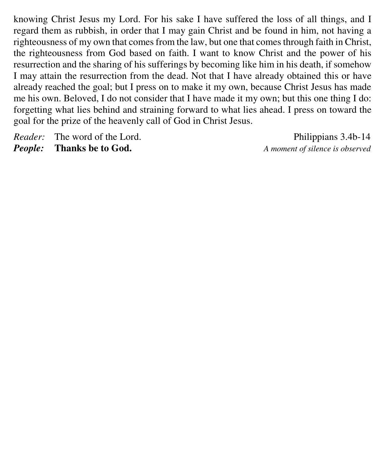knowing Christ Jesus my Lord. For his sake I have suffered the loss of all things, and I regard them as rubbish, in order that I may gain Christ and be found in him, not having a righteousness of my own that comes from the law, but one that comes through faith in Christ, the righteousness from God based on faith. I want to know Christ and the power of his resurrection and the sharing of his sufferings by becoming like him in his death, if somehow I may attain the resurrection from the dead. Not that I have already obtained this or have already reached the goal; but I press on to make it my own, because Christ Jesus has made me his own. Beloved, I do not consider that I have made it my own; but this one thing I do: forgetting what lies behind and straining forward to what lies ahead. I press on toward the goal for the prize of the heavenly call of God in Christ Jesus.

*Reader:* The word of the Lord. Philippians 3.4b-14

*People:* **Thanks be to God.** *A moment of silence is observed*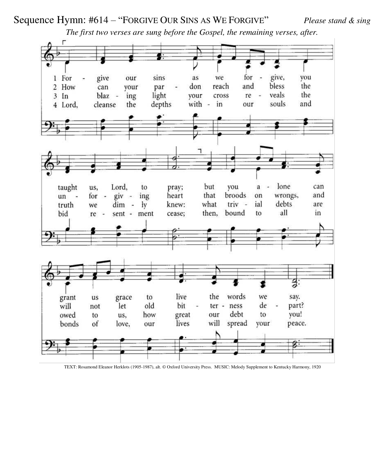*The first two verses are sung before the Gospel, the remaining verses, after.* г 1 For sins as we for give, vou give our  $\overline{a}$ reach the don bless 2 How can your par and ing light veals the  $3 \ln$ blaz your cross re  $\omega$ cleanse the depths with in our souls and 4 Lord, lone taught Lord, to pray; but you  $\mathbf{a}$  $\overline{\phantom{a}}$ can us, wrongs, for  $giv$ ing heart that broods on and un  $\sim$  $\overline{y}$ what triv ial debts are dim knew: truth we  $\overline{\phantom{a}}$ bound all bid cease; then, to in re sent ment 藻 ą. words live the we grant us grace to say. will not let old bit ter - ness de part? owed how great our debt to you! to us, lives will bonds spread peace. of love, our your N

TEXT: Rosamond Eleanor Herklots (1905-1987), alt. © Oxford University Press. MUSIC: Melody Supplement to Kentucky Harmony, 1920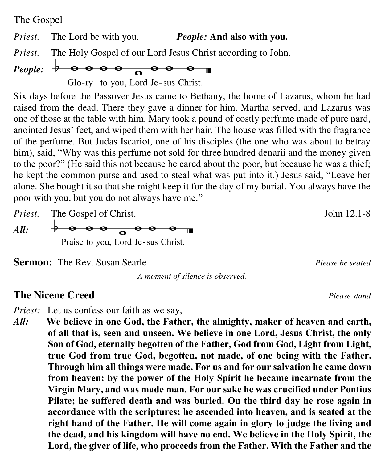The Gospel

*Priest:* The Holy Gospel of our Lord Jesus Christ according to John.

*Priest:* The Lord be with you. *People:* **And also with you.**

*People:*  $\frac{\phi}{\phi}$  **0 0 0 0 0 0 0 0** 

Glo-ry to you, Lord Je-sus Christ.

Six days before the Passover Jesus came to Bethany, the home of Lazarus, whom he had raised from the dead. There they gave a dinner for him. Martha served, and Lazarus was one of those at the table with him. Mary took a pound of costly perfume made of pure nard, anointed Jesus' feet, and wiped them with her hair. The house was filled with the fragrance of the perfume. But Judas Iscariot, one of his disciples (the one who was about to betray him), said, "Why was this perfume not sold for three hundred denarii and the money given to the poor?" (He said this not because he cared about the poor, but because he was a thief; he kept the common purse and used to steal what was put into it.) Jesus said, "Leave her alone. She bought it so that she might keep it for the day of my burial. You always have the poor with you, but you do not always have me."

*Priest:* The Gospel of Christ. John 12.1-8 *All:*  Praise to you, Lord Je-sus Christ.

**Sermon:** The Rev. Susan Searle *Please be seated Please be seated* 

*A moment of silence is observed.* 

#### **The Nicene Creed** *Please stand*

*Priest:* Let us confess our faith as we say,

*All:* **We believe in one God, the Father, the almighty, maker of heaven and earth, of all that is, seen and unseen. We believe in one Lord, Jesus Christ, the only Son of God, eternally begotten of the Father, God from God, Light from Light, true God from true God, begotten, not made, of one being with the Father. Through him all things were made. For us and for our salvation he came down from heaven: by the power of the Holy Spirit he became incarnate from the Virgin Mary, and was made man. For our sake he was crucified under Pontius Pilate; he suffered death and was buried. On the third day he rose again in accordance with the scriptures; he ascended into heaven, and is seated at the right hand of the Father. He will come again in glory to judge the living and the dead, and his kingdom will have no end. We believe in the Holy Spirit, the Lord, the giver of life, who proceeds from the Father. With the Father and the**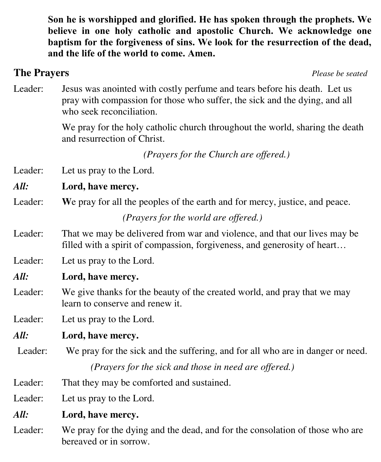**Son he is worshipped and glorified. He has spoken through the prophets. We believe in one holy catholic and apostolic Church. We acknowledge one baptism for the forgiveness of sins. We look for the resurrection of the dead, and the life of the world to come. Amen.**

# **The Prayers** *Please be seated*

Leader: Jesus was anointed with costly perfume and tears before his death. Let us pray with compassion for those who suffer, the sick and the dying, and all who seek reconciliation.

> We pray for the holy catholic church throughout the world, sharing the death and resurrection of Christ.

> > *(Prayers for the Church are offered.)*

Leader: Let us pray to the Lord.

*All:* **Lord, have mercy.** 

Leader: We pray for all the peoples of the earth and for mercy, justice, and peace.

*(Prayers for the world are offered.)* 

- Leader: That we may be delivered from war and violence, and that our lives may be filled with a spirit of compassion, forgiveness, and generosity of heart…
- Leader: Let us pray to the Lord.
- *All:* **Lord, have mercy.**
- Leader: We give thanks for the beauty of the created world, and pray that we may learn to conserve and renew it.

Leader: Let us pray to the Lord.

*All:* **Lord, have mercy.** 

- Leader: We pray for the sick and the suffering, and for all who are in danger or need. *(Prayers for the sick and those in need are offered.)*
- Leader: That they may be comforted and sustained.

Leader: Let us pray to the Lord.

- *All:* **Lord, have mercy.**
- Leader: We pray for the dying and the dead, and for the consolation of those who are bereaved or in sorrow.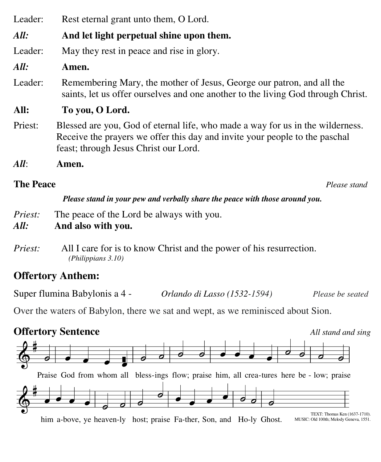Leader: Rest eternal grant unto them, O Lord.

*All:* **And let light perpetual shine upon them.** 

Leader: May they rest in peace and rise in glory.

*All:* **Amen.** 

Leader: Remembering Mary, the mother of Jesus, George our patron, and all the saints, let us offer ourselves and one another to the living God through Christ.

**All: To you, O Lord.** 

- Priest: Blessed are you, God of eternal life, who made a way for us in the wilderness. Receive the prayers we offer this day and invite your people to the paschal feast; through Jesus Christ our Lord.
- *All*: **Amen.**

#### **The Peace** *Please stand*

*Please stand in your pew and verbally share the peace with those around you.* 

- *Priest:* The peace of the Lord be always with you.
- *All:* **And also with you.**
- *Priest:* All I care for is to know Christ and the power of his resurrection.  *(Philippians 3.10)*

# **Offertory Anthem:**

Super flumina Babylonis a 4 - *Orlando di Lasso (1532-1594) Please be seated*

Over the waters of Babylon, there we sat and wept, as we reminisced about Sion.

# **Offertory Sentence** *All stand and sing*

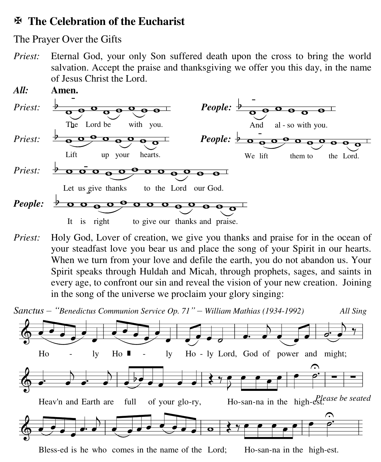# **The Celebration of the Eucharist**

The Prayer Over the Gifts

- *Priest:* Eternal God, your only Son suffered death upon the cross to bring the world salvation. Accept the praise and thanksgiving we offer you this day, in the name of Jesus Christ the Lord.
- *All:* **Amen.**



*Priest:* Holy God, Lover of creation, we give you thanks and praise for in the ocean of your steadfast love you bear us and place the song of your Spirit in our hearts. When we turn from your love and defile the earth, you do not abandon us. Your Spirit speaks through Huldah and Micah, through prophets, sages, and saints in every age, to confront our sin and reveal the vision of your new creation. Joining in the song of the universe we proclaim your glory singing:



Bless-ed is he who comes in the name of the Lord; Ho-san-na in the high-est.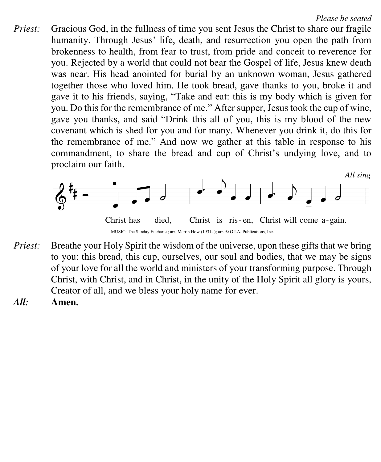#### *Please be seated*

*Priest:* Gracious God, in the fullness of time you sent Jesus the Christ to share our fragile humanity. Through Jesus' life, death, and resurrection you open the path from brokenness to health, from fear to trust, from pride and conceit to reverence for you. Rejected by a world that could not bear the Gospel of life, Jesus knew death was near. His head anointed for burial by an unknown woman, Jesus gathered together those who loved him. He took bread, gave thanks to you, broke it and gave it to his friends, saying, "Take and eat: this is my body which is given for you. Do this for the remembrance of me." After supper, Jesus took the cup of wine, gave you thanks, and said "Drink this all of you, this is my blood of the new covenant which is shed for you and for many. Whenever you drink it, do this for the remembrance of me." And now we gather at this table in response to his commandment, to share the bread and cup of Christ's undying love, and to proclaim our faith.



- *Priest:* Breathe your Holy Spirit the wisdom of the universe, upon these gifts that we bring to you: this bread, this cup, ourselves, our soul and bodies, that we may be signs of your love for all the world and ministers of your transforming purpose. Through Christ, with Christ, and in Christ, in the unity of the Holy Spirit all glory is yours, Creator of all, and we bless your holy name for ever.
- *All:* **Amen.**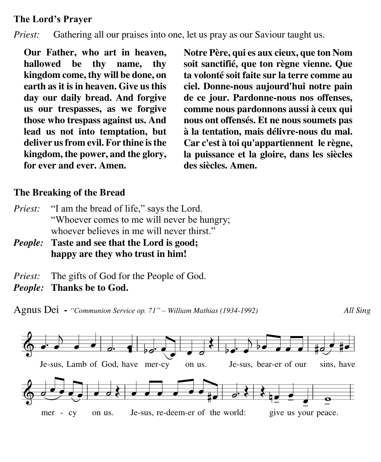#### **The Lord's Prayer**

*Priest:* Gathering all our praises into one, let us pray as our Saviour taught us.

**Our Father, who art in heaven, hallowed be thy name, thy kingdom come, thy will be done, on earth as it is in heaven. Give us this day our daily bread. And forgive us our trespasses, as we forgive those who trespass against us. And lead us not into temptation, but deliver us from evil. For thine is the kingdom, the power, and the glory, for ever and ever. Amen.**

**Notre Père, qui es aux cieux, que ton Nom soit sanctifié, que ton règne vienne. Que ta volonté soit faite sur la terre comme au ciel. Donne-nous aujourd'hui notre pain de ce jour. Pardonne-nous nos offenses, comme nous pardonnons aussi à ceux qui nous ont offensés. Et ne nous soumets pas à la tentation, mais délivre-nous du mal. Car c'est à toi qu'appartiennent le règne, la puissance et la gloire, dans les siècles des siècles. Amen.** 

#### **The Breaking of the Bread**

- *Priest:* "I am the bread of life," says the Lord. "Whoever comes to me will never be hungry; whoever believes in me will never thirst."
- *People:* **Taste and see that the Lord is good; happy are they who trust in him!**
- *Priest:* The gifts of God for the People of God. *People:* **Thanks be to God.**



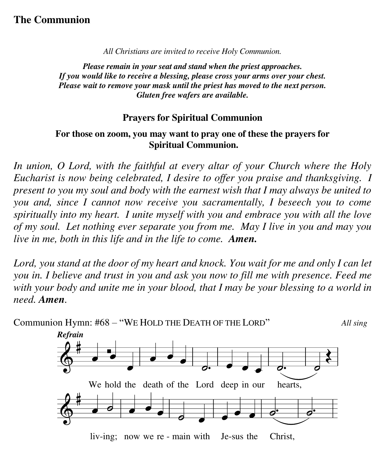# **The Communion**

*All Christians are invited to receive Holy Communion.* 

*Please remain in your seat and stand when the priest approaches. If you would like to receive a blessing, please cross your arms over your chest. Please wait to remove your mask until the priest has moved to the next person. Gluten free wafers are available.*

#### **Prayers for Spiritual Communion**

#### **For those on zoom, you may want to pray one of these the prayers for Spiritual Communion.**

*In union, O Lord, with the faithful at every altar of your Church where the Holy Eucharist is now being celebrated, I desire to offer you praise and thanksgiving. I present to you my soul and body with the earnest wish that I may always be united to you and, since I cannot now receive you sacramentally, I beseech you to come spiritually into my heart. I unite myself with you and embrace you with all the love of my soul. Let nothing ever separate you from me. May I live in you and may you live in me, both in this life and in the life to come. Amen.* 

Lord, you stand at the door of my heart and knock. You wait for me and only I can let *you in. I believe and trust in you and ask you now to fill me with presence. Feed me with your body and unite me in your blood, that I may be your blessing to a world in need. Amen.* 

Communion Hymn: #68 – "WE HOLD THE DEATH OF THE LORD" *All sing* 

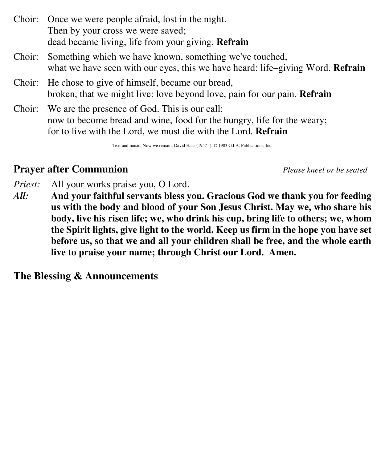- Choir: Once we were people afraid, lost in the night. Then by your cross we were saved; dead became living, life from your giving. **Refrain**
- Choir: Something which we have known, something we've touched, what we have seen with our eyes, this we have heard: life–giving Word. **Refrain**
- Choir: He chose to give of himself, became our bread, broken, that we might live: love beyond love, pain for our pain. **Refrain**
- Choir: We are the presence of God. This is our call: now to become bread and wine, food for the hungry, life for the weary; for to live with the Lord, we must die with the Lord. **Refrain**

Text and music: Now we remain; David Haas (1957- ); © 1983 G.I.A. Publications, Inc.

# **Prayer after Communion** *Please kneel or be seated*

- *Priest:* All your works praise you, O Lord.
- *All:* **And your faithful servants bless you. Gracious God we thank you for feeding us with the body and blood of your Son Jesus Christ. May we, who share his body, live his risen life; we, who drink his cup, bring life to others; we, whom the Spirit lights, give light to the world. Keep us firm in the hope you have set before us, so that we and all your children shall be free, and the whole earth live to praise your name; through Christ our Lord. Amen.**

**The Blessing & Announcements**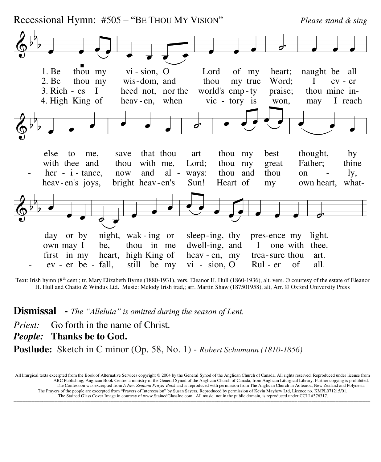4. High King of heav-en, when vic - tory is won, may I reach 3. Rich  $-$  es I heed not, nor the world's emp $-$ ty praise; thou mine in-2. Be thou my wis-dom, and thou my true Word; I ev - er 1. Be thou my vi sion,  $\overline{O}$  Lord of my heart; naught be all  $\breve \Phi$  $\frac{1}{2}$ |<br>|}  $\frac{1}{2}$  $\overline{\phantom{a}}$  $\overline{\cdot \cdot \cdot \cdot}$  $\overrightarrow{a}$   $\overrightarrow{a}$   $\overrightarrow{a}$  $\begin{array}{|c|c|c|c|c|}\hline \rule{0pt}{1ex}& \bullet & \bullet & \bullet \end{array}$ heav-en's joys, bright heav-en's Sun! Heart of my own heart, whather -  $i$  - tance, now and al - ways: thou and thou on - ly, with thee and thou with me, Lord; thou my great Father; thine else to me, save that thou art thou my best thought, by  $\breve \Phi$  $\frac{1}{2}$  $\frac{1}{2}$  $\frac{1}{2}$  $\overline{\phantom{a}}$  $\overrightarrow{ }$  $\blacksquare$  $\frac{1}{\sigma}$  $\frac{1}{\bullet}$  $ev - er be - fall$ , still be my vi  $-$  sion,  $O$  Rul  $- er$  of all. first in my heart, high King of heav  $\epsilon$ - en, my trea sure thou art. own may  $I$  be, thou in me dwell-ing, and  $I$  one with thee. day or by night, wak-ing or sleep-ing, thy pres-ence my light.  $\breve \Phi$  $\frac{1}{2}$  $\frac{1}{2}$  $\frac{1}{2}$  $\overrightarrow{a}$  $\overline{\phantom{a}}$  $\frac{1}{\bullet}$  $\frac{1}{\sqrt{2}}$  $\frac{1}{\bullet}$  $\frac{1}{\bullet}$  $\bullet$   $\bullet$   $\bullet$   $\circ$ Recessional Hymn: #505 – "BE THOU MY VISION" *Please stand & sing* 

Text: Irish hymn (8<sup>th</sup> cent.; tr. Mary Elizabeth Byrne (1880-1931), vers. Eleanor H. Hull (1860-1936), alt. vers. © courtesy of the estate of Eleanor H. Hull and Chatto & Windus Ltd. Music: Melody Irish trad,; arr. Martin Shaw (187501958), alt, Arr. © Oxford University Press

**Dismissal -** *The "Alleluia" is omitted during the season of Lent.*

*Priest:* Go forth in the name of Christ.

*People:* **Thanks be to God.** 

**Postlude:** Sketch in C minor (Op. 58, No. 1) - *Robert Schumann (1810-1856)* 

All liturgical texts excerpted from the Book of Alternative Services copyright © 2004 by the General Synod of the Anglican Church of Canada. All rights reserved. Reproduced under license from ABC Publishing, Anglican Book Centre, a ministry of the General Synod of the Anglican Church of Canada, from Anglican Liturgical Library. Further copying is prohibited. The Confession was excerpted from *A New Zealand Prayer Book* and is reproduced with permission from The Anglican Church in Aotearoa, New Zealand and Polynesia. The Prayers of the people are excerpted from "Prayers of Intercession" by Susan Sayers. Reproduced by permission of Kevin Mayhew Ltd, Licence no. KMPL071215/01. The Stained Glass Cover Image in courtesy of www.StainedGlassInc.com. All music, not in the public domain, is reproduced under CCLI #376317. ,一个人的人都是不是一个人的人,我们也不是一个人的人,我们也不是一个人的人,我们也不是一个人的人,我们也不是一个人的人,我们也不是一个人的人,我们也不是一个人的

**\_\_\_\_\_\_\_\_\_\_\_\_\_\_\_\_\_\_\_\_\_\_\_\_\_\_\_\_\_\_\_\_\_\_\_\_\_\_\_\_\_\_\_\_\_\_\_\_\_\_\_\_\_\_\_\_\_\_\_\_\_\_\_\_\_\_\_\_\_\_\_\_\_\_\_\_\_\_\_\_\_\_\_\_\_\_\_\_\_\_\_\_\_\_\_\_\_\_\_\_\_\_\_\_\_\_\_\_\_\_\_\_\_\_\_\_\_\_\_\_\_\_\_\_\_\_\_\_\_\_\_\_\_\_\_\_\_\_\_\_\_\_\_\_\_\_\_\_\_\_\_\_\_\_\_\_\_\_\_\_\_\_\_\_\_\_\_\_\_\_\_\_\_\_\_\_\_\_\_\_\_\_\_\_\_\_\_\_\_\_\_\_\_\_\_\_\_\_\_\_\_\_\_\_\_\_\_\_\_\_\_\_\_\_\_\_\_\_\_\_\_\_\_\_\_\_\_\_\_\_\_\_\_\_\_\_**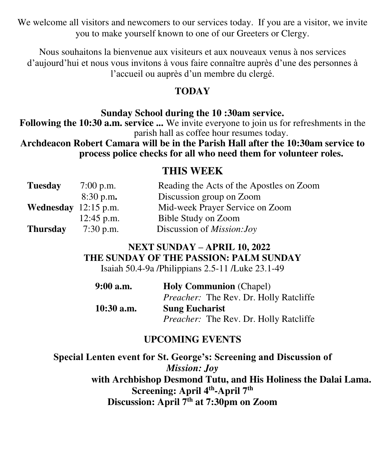We welcome all visitors and new comers to our services today. If you are a visitor, we invite you to make yourself known to one of our Greeters or Clergy.

Nous souhaitons la bienvenue aux visiteurs et aux nouveaux venus à nos services d'aujourd'hui et nous vous invitons à vous faire connaître auprès d'une des personnes à l'accueil ou auprès d'un membre du clergé.

#### **TODAY**

#### **Sunday School during the 10 :30am service.**

**Following the 10:30 a.m. service ...** We invite everyone to join us for refreshments in the parish hall as coffee hour resumes today.

**Archdeacon Robert Camara will be in the Parish Hall after the 10:30am service to process police checks for all who need them for volunteer roles.** 

### **THIS WEEK**

| <b>Tuesday</b>                | $7:00$ p.m.  | Reading the Acts of the Apostles on Zoom |
|-------------------------------|--------------|------------------------------------------|
|                               | 8:30 p.m.    | Discussion group on Zoom                 |
| <b>Wednesday</b> $12:15$ p.m. |              | Mid-week Prayer Service on Zoom          |
|                               | $12:45$ p.m. | Bible Study on Zoom                      |
| <b>Thursday</b>               | $7:30$ p.m.  | Discussion of <i>Mission: Joy</i>        |

# **NEXT SUNDAY – APRIL 10, 2022 THE SUNDAY OF THE PASSION: PALM SUNDAY**

Isaiah 50.4-9a /Philippians 2.5-11 /Luke 23.1-49

| $9:00$ a.m.  | <b>Holy Communion</b> (Chapel)                |
|--------------|-----------------------------------------------|
|              | <i>Preacher:</i> The Rev. Dr. Holly Ratcliffe |
| $10:30$ a.m. | <b>Sung Eucharist</b>                         |
|              | <i>Preacher:</i> The Rev. Dr. Holly Ratcliffe |

#### **UPCOMING EVENTS**

**Special Lenten event for St. George's: Screening and Discussion of** *Mission: Joy* **with Archbishop Desmond Tutu, and His Holiness the Dalai Lama. Screening: April 4th -April 7th Discussion: April 7th at 7:30pm on Zoom**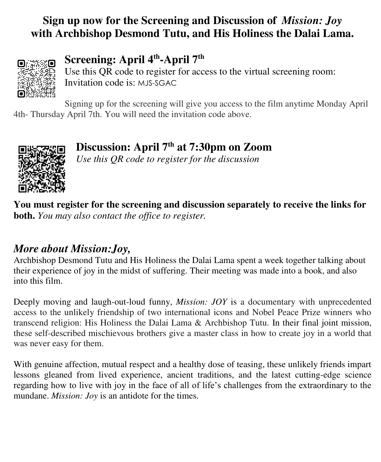# **Sign up now for the Screening and Discussion of** *Mission: Joy* **with Archbishop Desmond Tutu, and His Holiness the Dalai Lama.**



# **Screening: April 4th-April 7th**

Use this QR code to register for access to the virtual screening room: Invitation code is: MJS-SGAC

Signing up for the screening will give you access to the film anytime Monday April 4th- Thursday April 7th. You will need the invitation code above.



**Discussion: April 7th at 7:30pm on Zoom** *Use this QR code to register for the discussion* 

**You must register for the screening and discussion separately to receive the links for both.** *You may also contact the office to register.*

# *More about Mission:Joy,*

Archbishop Desmond Tutu and His Holiness the Dalai Lama spent a week together talking about their experience of joy in the midst of suffering. Their meeting was made into a book, and also into this film.

Deeply moving and laugh-out-loud funny, *Mission: JOY* is a documentary with unprecedented access to the unlikely friendship of two international icons and Nobel Peace Prize winners who transcend religion: His Holiness the Dalai Lama & Archbishop Tutu. In their final joint mission, these self-described mischievous brothers give a master class in how to create joy in a world that was never easy for them.

With genuine affection, mutual respect and a healthy dose of teasing, these unlikely friends impart lessons gleaned from lived experience, ancient traditions, and the latest cutting-edge science regarding how to live with joy in the face of all of life's challenges from the extraordinary to the mundane. *Mission: Joy* is an antidote for the times.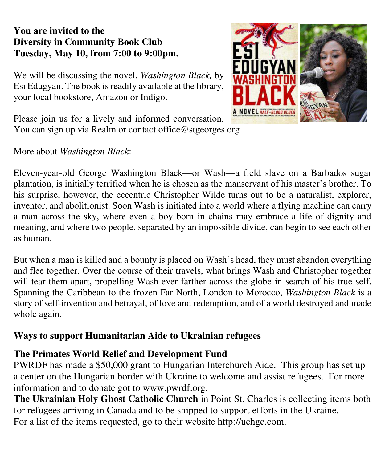## **You are invited to the Diversity in Community Book Club Tuesday, May 10, from 7:00 to 9:00pm.**

We will be discussing the novel, *Washington Black,* by Esi Edugyan. The book is readily available at the library, your local bookstore, Amazon or Indigo.

Please join us for a lively and informed conversation. You can sign up via Realm or contact [office@stgeorges.org](mailto:office@stgeorges.org)

More about *Washington Black*:



Eleven-year-old George Washington Black—or Wash—a field slave on a Barbados sugar plantation, is initially terrified when he is chosen as the manservant of his master's brother. To his surprise, however, the eccentric Christopher Wilde turns out to be a naturalist, explorer, inventor, and abolitionist. Soon Wash is initiated into a world where a flying machine can carry a man across the sky, where even a boy born in chains may embrace a life of dignity and meaning, and where two people, separated by an impossible divide, can begin to see each other as human.

But when a man is killed and a bounty is placed on Wash's head, they must abandon everything and flee together. Over the course of their travels, what brings Wash and Christopher together will tear them apart, propelling Wash ever farther across the globe in search of his true self. Spanning the Caribbean to the frozen Far North, London to Morocco, *Washington Black* is a story of self-invention and betrayal, of love and redemption, and of a world destroyed and made whole again.

### **Ways to support Humanitarian Aide to Ukrainian refugees**

# **The Primates World Relief and Development Fund**

PWRDF has made a \$50,000 grant to Hungarian Interchurch Aide. This group has set up a center on the Hungarian border with Ukraine to welcome and assist refugees. For more information and to donate got to www.pwrdf.org.

**The Ukrainian Holy Ghost Catholic Church** in Point St. Charles is collecting items both for refugees arriving in Canada and to be shipped to support efforts in the Ukraine. For a list of the items requested, go to their website [http://uchgc.com.](http://uchgc.com/)